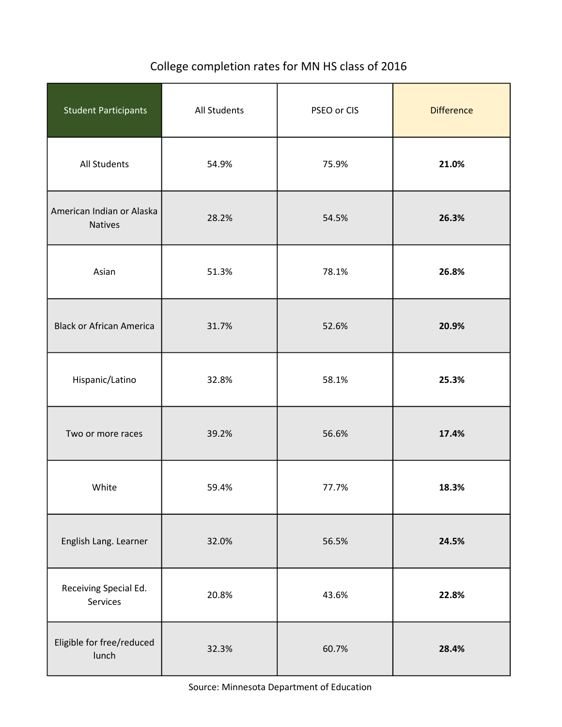## College completion rates for MN HS class of 2016

| <b>Student Participants</b>                 | All Students | PSEO or CIS | <b>Difference</b> |  |
|---------------------------------------------|--------------|-------------|-------------------|--|
| All Students                                | 54.9%        | 75.9%       | 21.0%             |  |
| American Indian or Alaska<br><b>Natives</b> | 28.2%        | 54.5%       | 26.3%             |  |
| Asian                                       | 51.3%        | 78.1%       | 26.8%             |  |
| <b>Black or African America</b>             | 31.7%        | 52.6%       | 20.9%             |  |
| Hispanic/Latino                             | 32.8%        | 58.1%       | 25.3%             |  |
| Two or more races                           | 39.2%        | 56.6%       | 17.4%             |  |
| White                                       | 59.4%        | 77.7%       | 18.3%             |  |
| English Lang. Learner                       | 32.0%        | 56.5%       | 24.5%             |  |
| Receiving Special Ed.<br>Services           | 20.8%        | 43.6%       | 22.8%             |  |
| Eligible for free/reduced<br>lunch          | 32.3%        | 60.7%       | 28.4%             |  |